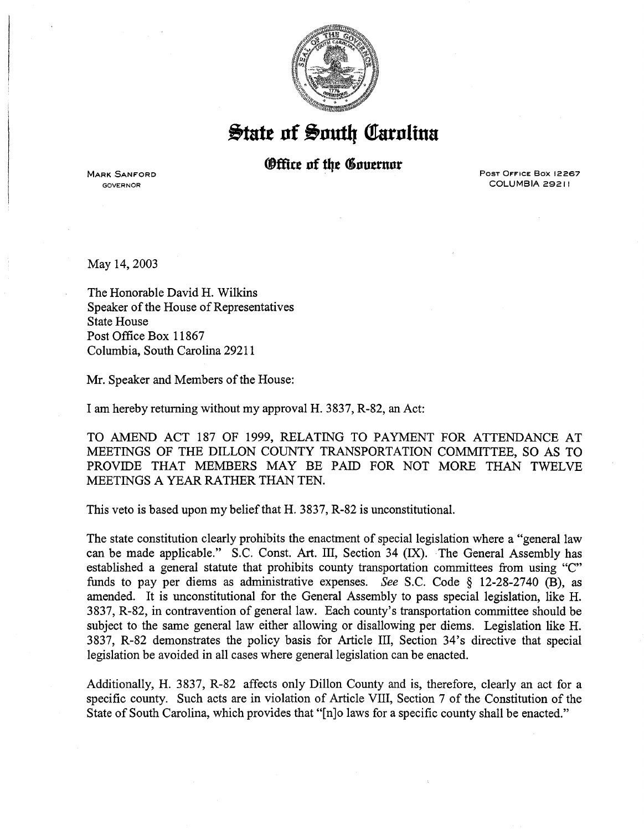

## **State of South Carolina**

## *®ffice of the Governor*

MARK SANFORD GOVERNOR

Post Office Box 12267 COLUMBIA 29211

May 14,2003

The Honorable David H. Wilkins Speaker of the House of Representatives State House Post Office Box 11867 Columbia, South Carolina 29211

Mr. Speaker and Members of the House:

I am hereby returning without my approval H. 3837, R-82, an Act:

TO AMEND ACT 187 OF 1999, RELATING TO PAYMENT FOR ATTENDANCE AT MEETINGS OF THE DILLON COUNTY TRANSPORTATION COMMITTEE, SO AS TO PROVIDE THAT MEMBERS MAY BE PAID FOR NOT MORE THAN TWELVE MEETINGS A YEAR RATHER THAN TEN.

This veto is based upon my belief that H. 3837, R-82 is unconstitutional.

The state constitution clearly prohibits the enactment of special legislation where a "general law can be made applicable." S.C. Const. Art. III, Section 34 (IX). The General Assembly has established a general statute that prohibits county transportation committees from using "C" funds to pay per diems as administrative expenses. *See* S.C. Code § 12-28-2740 (B), as amended. It is unconstitutional for the General Assembly to pass special legislation, like H. 3837, R-82, in contravention of general law. Each county's transportation committee should be subject to the same general law either allowing or disallowing per diems. Legislation like H. 3837, R-82 demonstrates the policy basis for Article III, Section 34's directive that special legislation be avoided in all cases where general legislation can be enacted.

Additionally, H. 3837, R-82 affects only Dillon County and is, therefore, clearly an act for a specific county. Such acts are in violation of Article VIII, Section 7 of the Constitution of the State of South Carolina, which provides that "[n]o laws for a specific county shall be enacted."